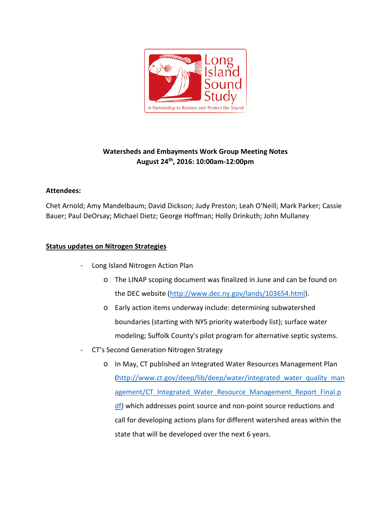

# **Watersheds and Embayments Work Group Meeting Notes August 24th, 2016: 10:00am-12:00pm**

## **Attendees:**

Chet Arnold; Amy Mandelbaum; David Dickson; Judy Preston; Leah O'Neill; Mark Parker; Cassie Bauer; Paul DeOrsay; Michael Dietz; George Hoffman; Holly Drinkuth; John Mullaney

## **Status updates on Nitrogen Strategies**

- Long Island Nitrogen Action Plan
	- o The LINAP scoping document was finalized in June and can be found on the DEC website [\(http://www.dec.ny.gov/lands/103654.html\)](http://www.dec.ny.gov/lands/103654.html).
	- o Early action items underway include: determining subwatershed boundaries (starting with NYS priority waterbody list); surface water modeling; Suffolk County's pilot program for alternative septic systems.
- CT's Second Generation Nitrogen Strategy
	- o In May, CT published an Integrated Water Resources Management Plan (http://www.ct.gov/deep/lib/deep/water/integrated water quality man agement/CT Integrated Water Resource Management Report Final.p [df\)](http://www.ct.gov/deep/lib/deep/water/integrated_water_quality_management/CT_Integrated_Water_Resource_Management_Report_Final.pdf) which addresses point source and non-point source reductions and call for developing actions plans for different watershed areas within the state that will be developed over the next 6 years.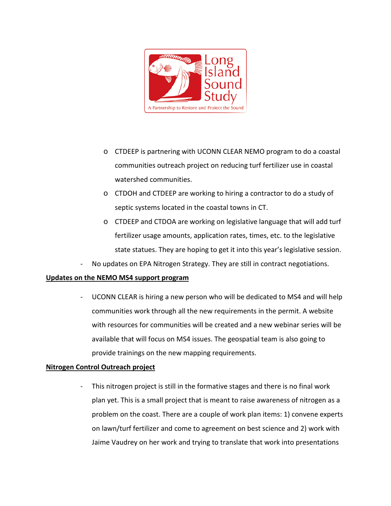

- o CTDEEP is partnering with UCONN CLEAR NEMO program to do a coastal communities outreach project on reducing turf fertilizer use in coastal watershed communities.
- o CTDOH and CTDEEP are working to hiring a contractor to do a study of septic systems located in the coastal towns in CT.
- o CTDEEP and CTDOA are working on legislative language that will add turf fertilizer usage amounts, application rates, times, etc. to the legislative state statues. They are hoping to get it into this year's legislative session.
- No updates on EPA Nitrogen Strategy. They are still in contract negotiations.

#### **Updates on the NEMO MS4 support program**

- UCONN CLEAR is hiring a new person who will be dedicated to MS4 and will help communities work through all the new requirements in the permit. A website with resources for communities will be created and a new webinar series will be available that will focus on MS4 issues. The geospatial team is also going to provide trainings on the new mapping requirements.

#### **Nitrogen Control Outreach project**

- This nitrogen project is still in the formative stages and there is no final work plan yet. This is a small project that is meant to raise awareness of nitrogen as a problem on the coast. There are a couple of work plan items: 1) convene experts on lawn/turf fertilizer and come to agreement on best science and 2) work with Jaime Vaudrey on her work and trying to translate that work into presentations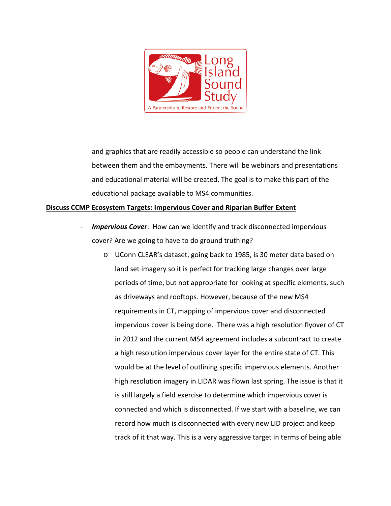

and graphics that are readily accessible so people can understand the link between them and the embayments. There will be webinars and presentations and educational material will be created. The goal is to make this part of the educational package available to MS4 communities.

## **Discuss CCMP Ecosystem Targets: Impervious Cover and Riparian Buffer Extent**

- **Impervious Cover:** How can we identify and track disconnected impervious cover? Are we going to have to do ground truthing?
	- o UConn CLEAR's dataset, going back to 1985, is 30 meter data based on land set imagery so it is perfect for tracking large changes over large periods of time, but not appropriate for looking at specific elements, such as driveways and rooftops. However, because of the new MS4 requirements in CT, mapping of impervious cover and disconnected impervious cover is being done. There was a high resolution flyover of CT in 2012 and the current MS4 agreement includes a subcontract to create a high resolution impervious cover layer for the entire state of CT. This would be at the level of outlining specific impervious elements. Another high resolution imagery in LIDAR was flown last spring. The issue is that it is still largely a field exercise to determine which impervious cover is connected and which is disconnected. If we start with a baseline, we can record how much is disconnected with every new LID project and keep track of it that way. This is a very aggressive target in terms of being able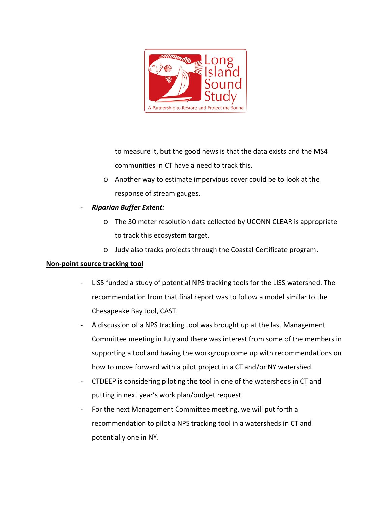

to measure it, but the good news is that the data exists and the MS4 communities in CT have a need to track this.

- o Another way to estimate impervious cover could be to look at the response of stream gauges.
- *Riparian Buffer Extent:*
	- o The 30 meter resolution data collected by UCONN CLEAR is appropriate to track this ecosystem target.
	- o Judy also tracks projects through the Coastal Certificate program.

## **Non-point source tracking tool**

- LISS funded a study of potential NPS tracking tools for the LISS watershed. The recommendation from that final report was to follow a model similar to the Chesapeake Bay tool, CAST.
- A discussion of a NPS tracking tool was brought up at the last Management Committee meeting in July and there was interest from some of the members in supporting a tool and having the workgroup come up with recommendations on how to move forward with a pilot project in a CT and/or NY watershed.
- CTDEEP is considering piloting the tool in one of the watersheds in CT and putting in next year's work plan/budget request.
- For the next Management Committee meeting, we will put forth a recommendation to pilot a NPS tracking tool in a watersheds in CT and potentially one in NY.